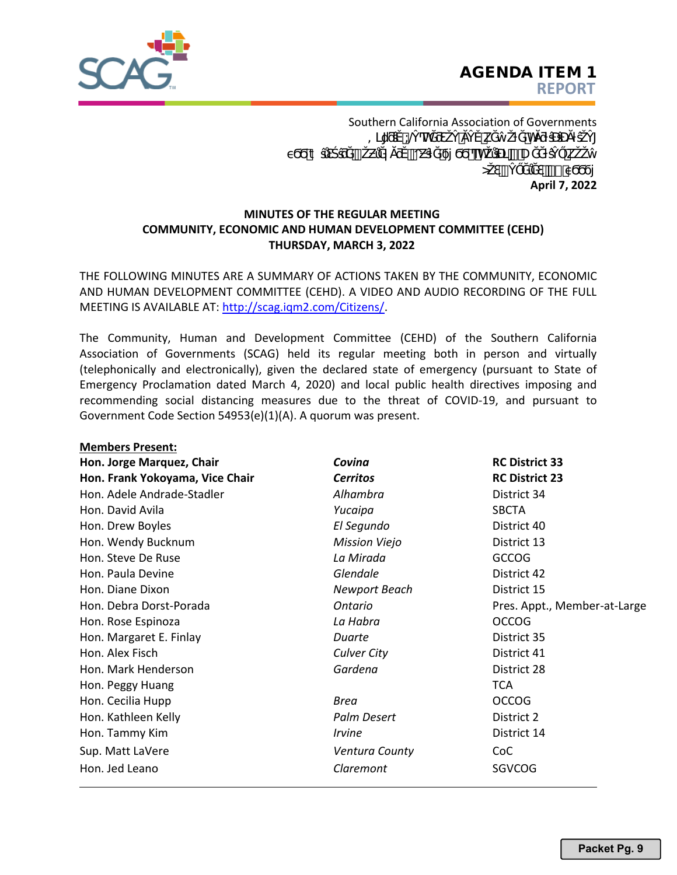

**April 7, 2022** Southern California Association of Governments >ŽƐŶŐĞůĞƐ͕ϵϬϬϭϳ φοράς έται διώδιο είναι ή που είναι και τη συνέχθηση και το προϊόνδου και το προϊόνδου και το προϊόνδου και το<br>Εξωτερικό συγκεκριμματικό προϊόνδου και το προϊόνδου και το προϊόνδου και το προϊόνδου και το προϊόνδου και το = @h kh

# **MINUTES OF THE REGULAR MEETING COMMUNITY, ECONOMIC AND HUMAN DEVELOPMENT COMMITTEE (CEHD) THURSDAY, MARCH 3, 2022**

THE FOLLOWING MINUTES [ARE A SUMMARY OF ACTIONS T](http://scag.iqm2.com/Citizens/)AKEN BY THE COMMUNITY, ECONOMIC AND HUMAN DEVELOPMENT COMMITTEE (CEHD). A VIDEO AND AUDIO RECORDING OF THE FULL MEETING IS AVAILABLE AT: http://scag.iqm2.com/Citizens/.

The Community, Human and Development Committee (CEHD) of the Southern California Association of Governments (SCAG) held its regular meeting both in person and virtually (telephonically and electronically), given the declared state of emergency (pursuant to State of Emergency Proclamation dated March 4, 2020) and local public health directives imposing and recommending social distancing measures due to the threat of COVID-19, and pursuant to Government Code Section 54953(e)(1)(A). A quorum was present.

### **Members Present:**

| Hon. Jorge Marquez, Chair       | Covina               | <b>RC District 33</b>        |
|---------------------------------|----------------------|------------------------------|
| Hon. Frank Yokoyama, Vice Chair | <b>Cerritos</b>      | <b>RC District 23</b>        |
| Hon. Adele Andrade-Stadler      | Alhambra             | District 34                  |
| Hon. David Avila                | Yucaipa              | <b>SBCTA</b>                 |
| Hon. Drew Boyles                | El Segundo           | District 40                  |
| Hon. Wendy Bucknum              | <b>Mission Viejo</b> | District 13                  |
| Hon. Steve De Ruse              | La Mirada            | <b>GCCOG</b>                 |
| Hon. Paula Devine               | Glendale             | District 42                  |
| Hon. Diane Dixon                | Newport Beach        | District 15                  |
| Hon. Debra Dorst-Porada         | Ontario              | Pres. Appt., Member-at-Large |
| Hon. Rose Espinoza              | La Habra             | <b>OCCOG</b>                 |
| Hon. Margaret E. Finlay         | Duarte               | District 35                  |
| Hon. Alex Fisch                 | Culver City          | District 41                  |
| Hon. Mark Henderson             | Gardena              | District 28                  |
| Hon. Peggy Huang                |                      | <b>TCA</b>                   |
| Hon. Cecilia Hupp               | <b>Brea</b>          | <b>OCCOG</b>                 |
| Hon. Kathleen Kelly             | Palm Desert          | District 2                   |
| Hon. Tammy Kim                  | <i><b>Irvine</b></i> | District 14                  |
| Sup. Matt LaVere                | Ventura County       | CoC                          |
| Hon. Jed Leano                  | Claremont            | SGVCOG                       |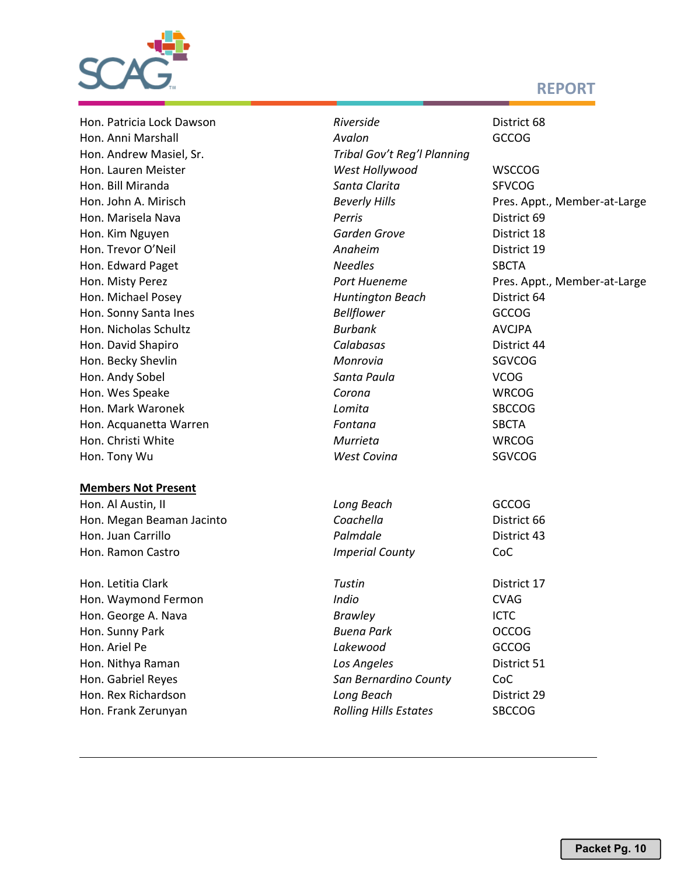

# **REPORT**

Hon. Andrew Masiel, Sr. *Tribal Gov't Reg'l Planning* 

### **Members Not Present**

Hon. Patricia Lock Dawson *Riverside* District 68 Hon. Anni Marshall *Avalon* GCCOG Hon. Lauren Meister *Rep. West Hollywood* WSCCOG Hon. Bill Miranda *Santa Clarita* SFVCOG Hon. John A. Mirisch *Beverly Hills* Pres. Appt., Member-at-Large Hon. Marisela Nava *Perris* District 69 Hon. Kim Nguyen *Garden Grove* District 18 Hon. Trevor O'Neil *Anaheim* District 19 Hon. Edward Paget *Needles* SBCTA Hon. Misty Perez *Port Hueneme* Pres. Appt., Member-at-Large Hon. Michael Posey *Huntington Beach* District 64 Hon. Sonny Santa Ines *Bellflower* GCCOG Hon. Nicholas Schultz *Burbank* AVCJPA Hon. David Shapiro *Calabasas* District 44 Hon. Becky Shevlin *Monrovia* SGVCOG Hon. Andy Sobel *Santa Paula* VCOG Hon. Wes Speake *Corona* WRCOG Hon. Mark Waronek *Lomita* SBCCOG Hon. Acquanetta Warren *Fontana* SBCTA Hon. Christi White *Murrieta* WRCOG Hon. Tony Wu *West Covina* SGVCOG Hon. Al Austin, II *Long Beach* GCCOG Hon. Megan Beaman Jacinto **Coachella Coachella District 66** Hon. Juan Carrillo *Palmdale* District 43 Hon. Ramon Castro *Imperial County* CoC Hon. Letitia Clark *Tustin* District 17 Hon. Waymond Fermon *Indio* CVAG Hon. George A. Nava *Brawley* ICTC Hon. Sunny Park *Buena Park* OCCOG Hon. Ariel Pe *Lakewood* GCCOG Hon. Nithya Raman *Los Angeles* District 51 Hon. Gabriel Reyes *San Bernardino County* CoC Hon. Rex Richardson *Long Beach* District 29 Hon. Frank Zerunyan *Rolling Hills Estates* SBCCOG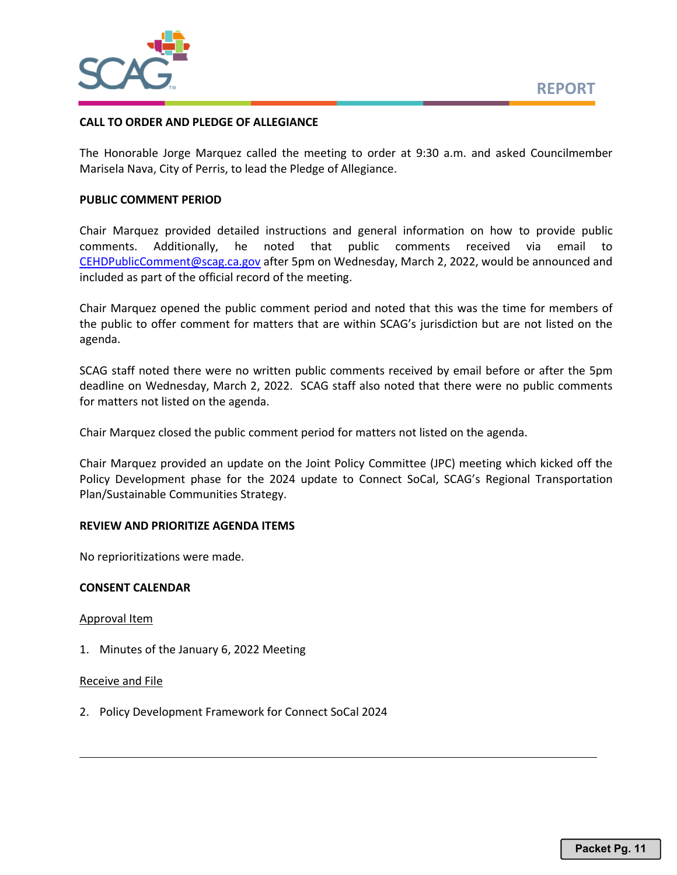

### **CALL TO ORDER AND PLEDGE OF ALLEGIANCE**

The Honorable Jorge Marquez called the meeting to order at 9:30 a.m. and asked Councilmember Marisela Nava, City of Perris, to lead the Pledge of Allegiance.

# **PUBLIC COMMENT PERIOD**

Chair Marquez provided detailed instructions and general information on how to provide public comments. Additionally, he noted that public comments received via email to [CEHDPublicComment@scag.ca.gov](mailto:CEHDPublicComment@scag.ca.gov) after 5pm on Wednesday, March 2, 2022, would be announced and included as part of the official record of the meeting.

Chair Marquez opened the public comment period and noted that this was the time for members of the public to offer comment for matters that are within SCAG's jurisdiction but are not listed on the agenda.

SCAG staff noted there were no written public comments received by email before or after the 5pm deadline on Wednesday, March 2, 2022. SCAG staff also noted that there were no public comments for matters not listed on the agenda.

Chair Marquez closed the public comment period for matters not listed on the agenda.

Chair Marquez provided an update on the Joint Policy Committee (JPC) meeting which kicked off the Policy Development phase for the 2024 update to Connect SoCal, SCAG's Regional Transportation Plan/Sustainable Communities Strategy.

# **REVIEW AND PRIORITIZE AGENDA ITEMS**

No reprioritizations were made.

### **CONSENT CALENDAR**

Approval Item

1. Minutes of the January 6, 2022 Meeting

### Receive and File

2. Policy Development Framework for Connect SoCal 2024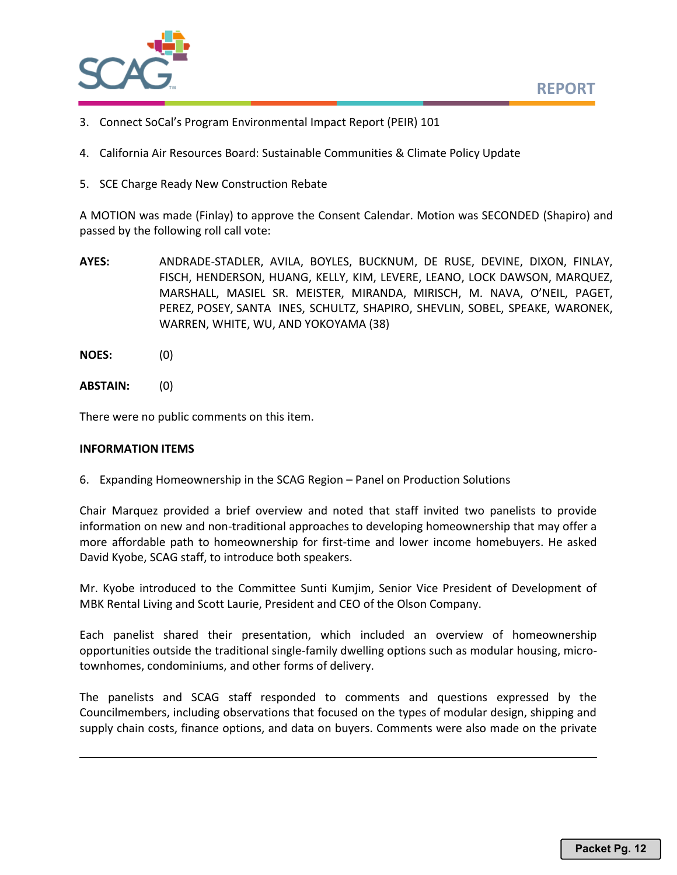

- 3. Connect SoCal's Program Environmental Impact Report (PEIR) 101
- 4. California Air Resources Board: Sustainable Communities & Climate Policy Update
- 5. SCE Charge Ready New Construction Rebate

A MOTION was made (Finlay) to approve the Consent Calendar. Motion was SECONDED (Shapiro) and passed by the following roll call vote:

- **AYES:** ANDRADE-STADLER, AVILA, BOYLES, BUCKNUM, DE RUSE, DEVINE, DIXON, FINLAY, FISCH, HENDERSON, HUANG, KELLY, KIM, LEVERE, LEANO, LOCK DAWSON, MARQUEZ, MARSHALL, MASIEL SR. MEISTER, MIRANDA, MIRISCH, M. NAVA, O'NEIL, PAGET, PEREZ, POSEY, SANTA INES, SCHULTZ, SHAPIRO, SHEVLIN, SOBEL, SPEAKE, WARONEK, WARREN, WHITE, WU, AND YOKOYAMA (38)
- **NOES:** (0)
- **ABSTAIN:** (0)

There were no public comments on this item.

### **INFORMATION ITEMS**

6. Expanding Homeownership in the SCAG Region – Panel on Production Solutions

Chair Marquez provided a brief overview and noted that staff invited two panelists to provide information on new and non-traditional approaches to developing homeownership that may offer a more affordable path to homeownership for first-time and lower income homebuyers. He asked David Kyobe, SCAG staff, to introduce both speakers.

Mr. Kyobe introduced to the Committee Sunti Kumjim, Senior Vice President of Development of MBK Rental Living and Scott Laurie, President and CEO of the Olson Company.

Each panelist shared their presentation, which included an overview of homeownership opportunities outside the traditional single-family dwelling options such as modular housing, microtownhomes, condominiums, and other forms of delivery.

The panelists and SCAG staff responded to comments and questions expressed by the Councilmembers, including observations that focused on the types of modular design, shipping and supply chain costs, finance options, and data on buyers. Comments were also made on the private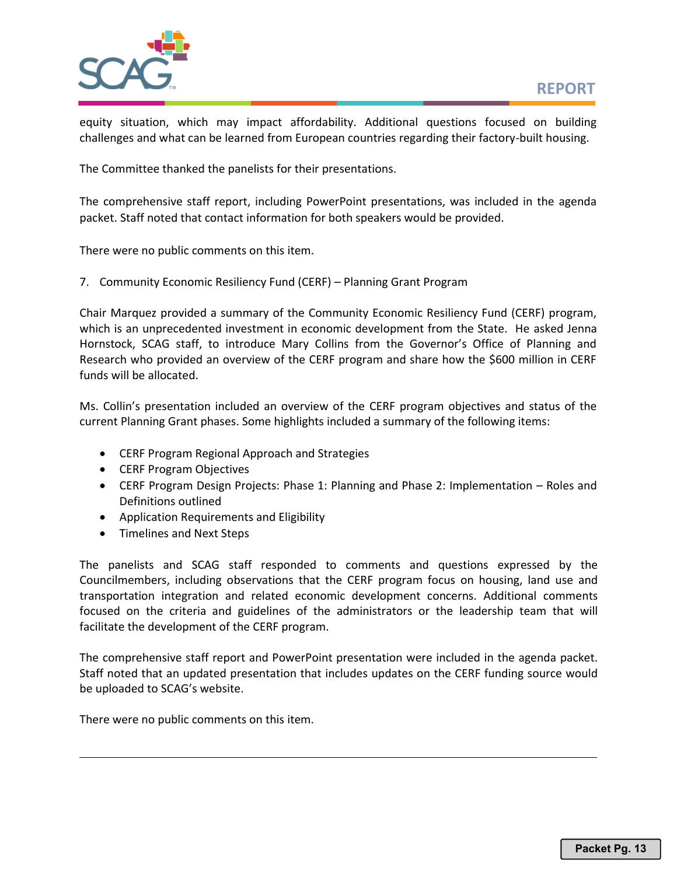

equity situation, which may impact affordability. Additional questions focused on building challenges and what can be learned from European countries regarding their factory-built housing.

The Committee thanked the panelists for their presentations.

The comprehensive staff report, including PowerPoint presentations, was included in the agenda packet. Staff noted that contact information for both speakers would be provided.

There were no public comments on this item.

7. Community Economic Resiliency Fund (CERF) – Planning Grant Program

Chair Marquez provided a summary of the Community Economic Resiliency Fund (CERF) program, which is an unprecedented investment in economic development from the State. He asked Jenna Hornstock, SCAG staff, to introduce Mary Collins from the Governor's Office of Planning and Research who provided an overview of the CERF program and share how the \$600 million in CERF funds will be allocated.

Ms. Collin's presentation included an overview of the CERF program objectives and status of the current Planning Grant phases. Some highlights included a summary of the following items:

- CERF Program Regional Approach and Strategies
- CERF Program Objectives
- CERF Program Design Projects: Phase 1: Planning and Phase 2: Implementation Roles and Definitions outlined
- Application Requirements and Eligibility
- Timelines and Next Steps

The panelists and SCAG staff responded to comments and questions expressed by the Councilmembers, including observations that the CERF program focus on housing, land use and transportation integration and related economic development concerns. Additional comments focused on the criteria and guidelines of the administrators or the leadership team that will facilitate the development of the CERF program.

The comprehensive staff report and PowerPoint presentation were included in the agenda packet. Staff noted that an updated presentation that includes updates on the CERF funding source would be uploaded to SCAG's website.

There were no public comments on this item.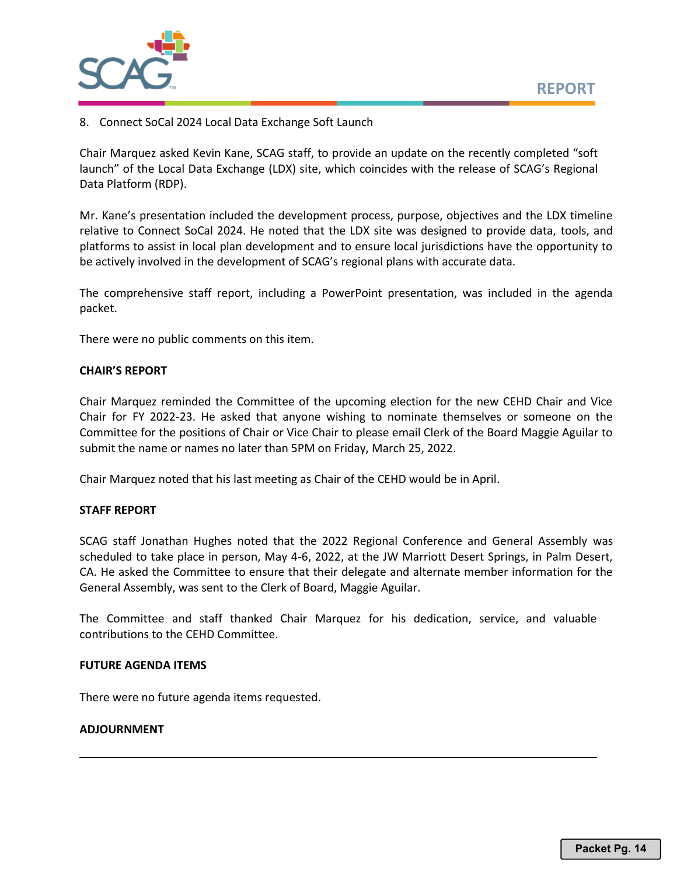

8. Connect SoCal 2024 Local Data Exchange Soft Launch

Chair Marquez asked Kevin Kane, SCAG staff, to provide an update on the recently completed "soft launch" of the Local Data Exchange (LDX) site, which coincides with the release of SCAG's Regional Data Platform (RDP).

Mr. Kane's presentation included the development process, purpose, objectives and the LDX timeline relative to Connect SoCal 2024. He noted that the LDX site was designed to provide data, tools, and platforms to assist in local plan development and to ensure local jurisdictions have the opportunity to be actively involved in the development of SCAG's regional plans with accurate data.

The comprehensive staff report, including a PowerPoint presentation, was included in the agenda packet.

There were no public comments on this item.

# **CHAIR'S REPORT**

Chair Marquez reminded the Committee of the upcoming election for the new CEHD Chair and Vice Chair for FY 2022-23. He asked that anyone wishing to nominate themselves or someone on the Committee for the positions of Chair or Vice Chair to please email Clerk of the Board Maggie Aguilar to submit the name or names no later than 5PM on Friday, March 25, 2022.

Chair Marquez noted that his last meeting as Chair of the CEHD would be in April.

### **STAFF REPORT**

SCAG staff Jonathan Hughes noted that the 2022 Regional Conference and General Assembly was scheduled to take place in person, May 4-6, 2022, at the JW Marriott Desert Springs, in Palm Desert, CA. He asked the Committee to ensure that their delegate and alternate member information for the General Assembly, was sent to the Clerk of Board, Maggie Aguilar.

The Committee and staff thanked Chair Marquez for his dedication, service, and valuable contributions to the CEHD Committee.

### **FUTURE AGENDA ITEMS**

There were no future agenda items requested.

### **ADJOURNMENT**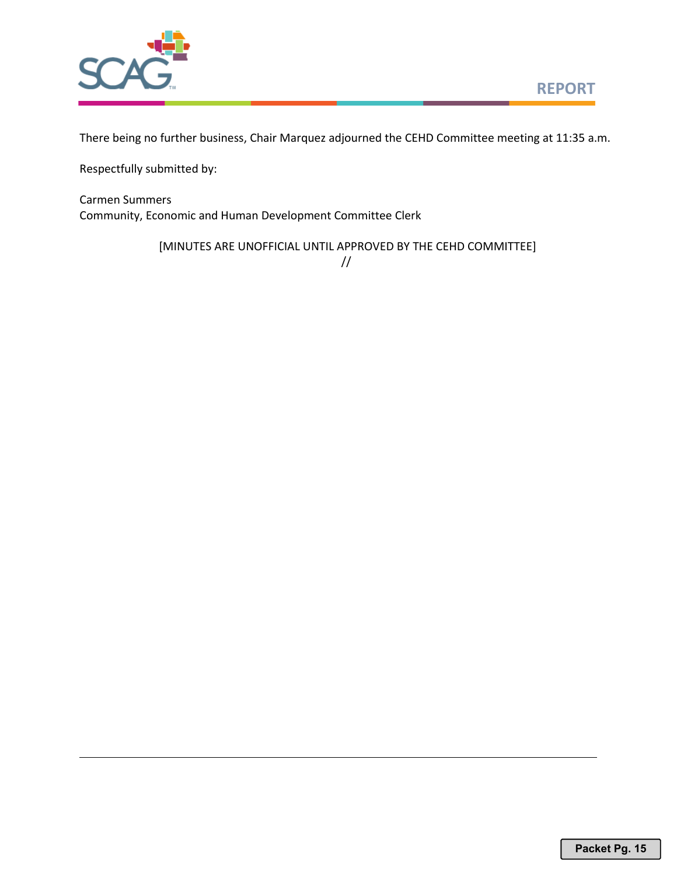

There being no further business, Chair Marquez adjourned the CEHD Committee meeting at 11:35 a.m.

Respectfully submitted by:

Carmen Summers Community, Economic and Human Development Committee Clerk

[MINUTES ARE UNOFFICIAL UNTIL APPROVED BY THE CEHD COMMITTEE]

//